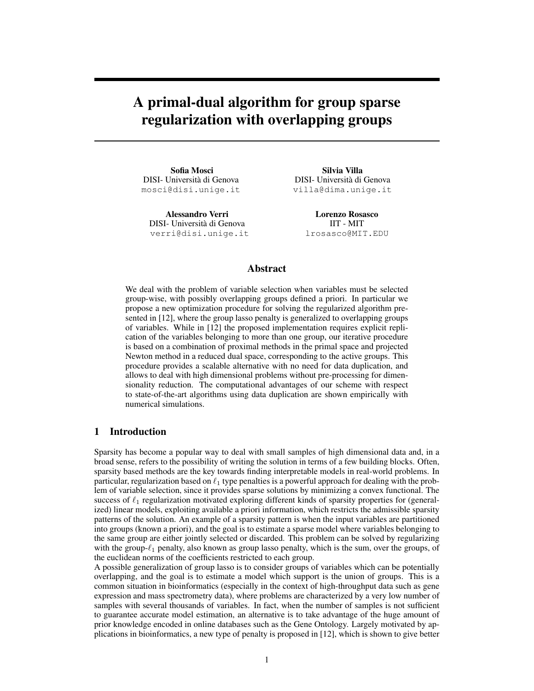# A primal-dual algorithm for group sparse regularization with overlapping groups

Sofia Mosci DISI- Universita di Genova ` mosci@disi.unige.it

Alessandro Verri DISI- Universita di Genova ` verri@disi.unige.it

Silvia Villa DISI- Universita di Genova ` villa@dima.unige.it

> Lorenzo Rosasco IIT - MIT lrosasco@MIT.EDU

## Abstract

We deal with the problem of variable selection when variables must be selected group-wise, with possibly overlapping groups defined a priori. In particular we propose a new optimization procedure for solving the regularized algorithm presented in [12], where the group lasso penalty is generalized to overlapping groups of variables. While in [12] the proposed implementation requires explicit replication of the variables belonging to more than one group, our iterative procedure is based on a combination of proximal methods in the primal space and projected Newton method in a reduced dual space, corresponding to the active groups. This procedure provides a scalable alternative with no need for data duplication, and allows to deal with high dimensional problems without pre-processing for dimensionality reduction. The computational advantages of our scheme with respect to state-of-the-art algorithms using data duplication are shown empirically with numerical simulations.

## 1 Introduction

Sparsity has become a popular way to deal with small samples of high dimensional data and, in a broad sense, refers to the possibility of writing the solution in terms of a few building blocks. Often, sparsity based methods are the key towards finding interpretable models in real-world problems. In particular, regularization based on  $\ell_1$  type penalties is a powerful approach for dealing with the problem of variable selection, since it provides sparse solutions by minimizing a convex functional. The success of  $\ell_1$  regularization motivated exploring different kinds of sparsity properties for (generalized) linear models, exploiting available a priori information, which restricts the admissible sparsity patterns of the solution. An example of a sparsity pattern is when the input variables are partitioned into groups (known a priori), and the goal is to estimate a sparse model where variables belonging to the same group are either jointly selected or discarded. This problem can be solved by regularizing with the group- $\ell_1$  penalty, also known as group lasso penalty, which is the sum, over the groups, of the euclidean norms of the coefficients restricted to each group.

A possible generalization of group lasso is to consider groups of variables which can be potentially overlapping, and the goal is to estimate a model which support is the union of groups. This is a common situation in bioinformatics (especially in the context of high-throughput data such as gene expression and mass spectrometry data), where problems are characterized by a very low number of samples with several thousands of variables. In fact, when the number of samples is not sufficient to guarantee accurate model estimation, an alternative is to take advantage of the huge amount of prior knowledge encoded in online databases such as the Gene Ontology. Largely motivated by applications in bioinformatics, a new type of penalty is proposed in [12], which is shown to give better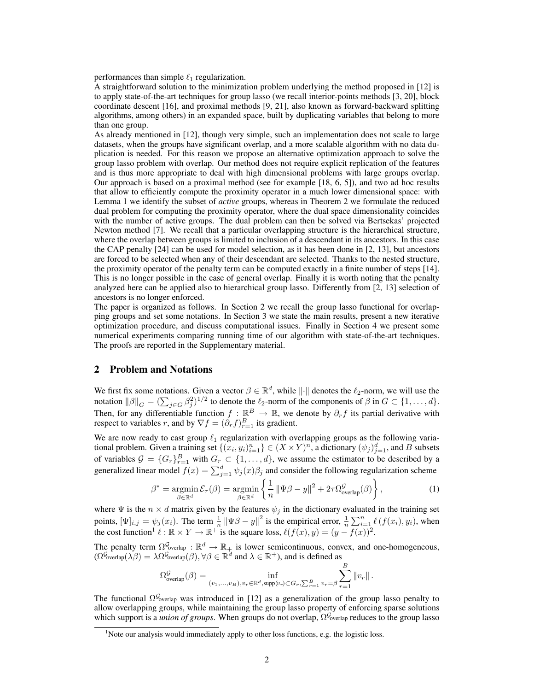performances than simple  $\ell_1$  regularization.

A straightforward solution to the minimization problem underlying the method proposed in [12] is to apply state-of-the-art techniques for group lasso (we recall interior-points methods [3, 20], block coordinate descent [16], and proximal methods [9, 21], also known as forward-backward splitting algorithms, among others) in an expanded space, built by duplicating variables that belong to more than one group.

As already mentioned in [12], though very simple, such an implementation does not scale to large datasets, when the groups have significant overlap, and a more scalable algorithm with no data duplication is needed. For this reason we propose an alternative optimization approach to solve the group lasso problem with overlap. Our method does not require explicit replication of the features and is thus more appropriate to deal with high dimensional problems with large groups overlap. Our approach is based on a proximal method (see for example [18, 6, 5]), and two ad hoc results that allow to efficiently compute the proximity operator in a much lower dimensional space: with Lemma 1 we identify the subset of *active* groups, whereas in Theorem 2 we formulate the reduced dual problem for computing the proximity operator, where the dual space dimensionality coincides with the number of active groups. The dual problem can then be solved via Bertsekas' projected Newton method [7]. We recall that a particular overlapping structure is the hierarchical structure, where the overlap between groups is limited to inclusion of a descendant in its ancestors. In this case the CAP penalty [24] can be used for model selection, as it has been done in [2, 13], but ancestors are forced to be selected when any of their descendant are selected. Thanks to the nested structure, the proximity operator of the penalty term can be computed exactly in a finite number of steps [14]. This is no longer possible in the case of general overlap. Finally it is worth noting that the penalty analyzed here can be applied also to hierarchical group lasso. Differently from [2, 13] selection of ancestors is no longer enforced.

The paper is organized as follows. In Section 2 we recall the group lasso functional for overlapping groups and set some notations. In Section 3 we state the main results, present a new iterative optimization procedure, and discuss computational issues. Finally in Section 4 we present some numerical experiments comparing running time of our algorithm with state-of-the-art techniques. The proofs are reported in the Supplementary material.

### 2 Problem and Notations

We first fix some notations. Given a vector  $\beta \in \mathbb{R}^d$ , while  $\|\cdot\|$  denotes the  $\ell_2$ -norm, we will use the notation  $\|\beta\|_G = (\sum_{j \in G} \beta_j^2)^{1/2}$  to denote the  $\ell_2$ -norm of the components of  $\beta$  in  $G \subset \{1, \ldots, d\}$ . Then, for any differentiable function  $f : \mathbb{R}^B \to \mathbb{R}$ , we denote by  $\partial_r f$  its partial derivative with respect to variables r, and by  $\nabla f = (\partial_r f)_{r=1}^B$  its gradient.

We are now ready to cast group  $\ell_1$  regularization with overlapping groups as the following variational problem. Given a training set  $\{(x_i, y_i)_{i=1}^n\} \in (X \times Y)^n$ , a dictionary  $(\psi_j)_{j=1}^d$ , and B subsets of variables  $G = \{G_r\}_{r=1}^B$  with  $G_r \subset \{1, \ldots, d\}$ , we assume the estimator to be described by a generalized linear model  $f(x) = \sum_{j=1}^{d} \psi_j(x) \beta_j$  and consider the following regularization scheme

$$
\beta^* = \underset{\beta \in \mathbb{R}^d}{\operatorname{argmin}} \, \mathcal{E}_{\tau}(\beta) = \underset{\beta \in \mathbb{R}^d}{\operatorname{argmin}} \left\{ \frac{1}{n} \left\| \Psi \beta - y \right\|^2 + 2\tau \Omega_{\text{overlap}}^{\mathcal{G}}(\beta) \right\},\tag{1}
$$

where  $\Psi$  is the  $n \times d$  matrix given by the features  $\psi_j$  in the dictionary evaluated in the training set points,  $[\Psi]_{i,j} = \psi_j(x_i)$ . The term  $\frac{1}{n} ||\Psi \beta - y||^2$  is the empirical error,  $\frac{1}{n} \sum_{i=1}^n \ell(f(x_i), y_i)$ , when the cost function<sup>1</sup>  $\ell : \mathbb{R} \times Y \to \mathbb{R}^+$  is the square loss,  $\ell(f(x), y) = (y - f(x))^2$ .

The penalty term  $\Omega^{\mathcal{G}_{\text{overlap}}} : \mathbb{R}^d \to \mathbb{R}_+$  is lower semicontinuous, convex, and one-homogeneous,  $(\Omega^{\mathcal{G}_{\text{overlap}}}(\lambda \beta) = \lambda \Omega^{\mathcal{G}_{\text{overlap}}}(\beta), \forall \beta \in \mathbb{R}^d \text{ and } \lambda \in \mathbb{R}^+)$ , and is defined as

$$
\Omega_{\text{overlap}}^{\mathcal{G}}(\beta) = \inf_{(v_1,\ldots,v_B),v_r \in \mathbb{R}^d, \text{supp}(v_r) \subset G_r, \sum_{r=1}^B v_r = \beta} \sum_{r=1}^B \Vert v_r \Vert.
$$

The functional  $\Omega^{\mathcal{G}_{\text{overlap}}}$  was introduced in [12] as a generalization of the group lasso penalty to allow overlapping groups, while maintaining the group lasso property of enforcing sparse solutions which support is a *union of groups*. When groups do not overlap,  $\Omega^{\mathcal{G}}$ <sub>overlap</sub> reduces to the group lasso

 $<sup>1</sup>$ Note our analysis would immediately apply to other loss functions, e.g. the logistic loss.</sup>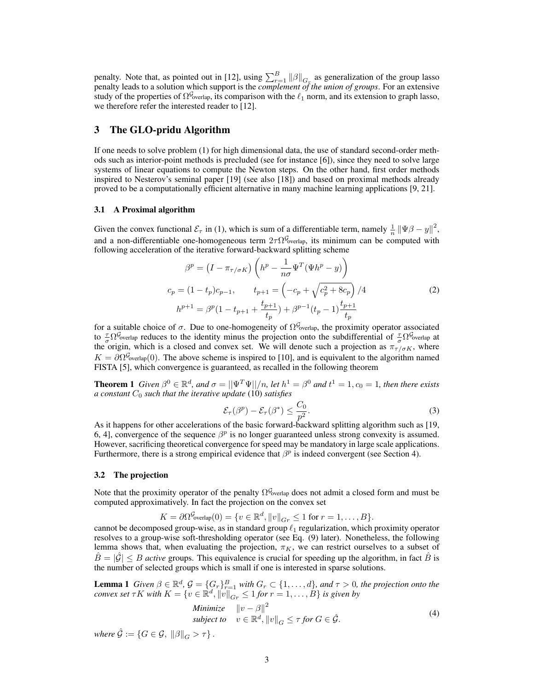penalty. Note that, as pointed out in [12], using  $\sum_{r=1}^{B} ||\beta||_{G_r}$  as generalization of the group lasso penalty leads to a solution which support is the *complement of the union of groups*. For an extensive study of the properties of  $\Omega^{\mathcal{G}}$ <sub>overlap</sub>, its comparison with the  $\ell_1$  norm, and its extension to graph lasso, we therefore refer the interested reader to [12].

### 3 The GLO-pridu Algorithm

If one needs to solve problem (1) for high dimensional data, the use of standard second-order methods such as interior-point methods is precluded (see for instance [6]), since they need to solve large systems of linear equations to compute the Newton steps. On the other hand, first order methods inspired to Nesterov's seminal paper [19] (see also [18]) and based on proximal methods already proved to be a computationally efficient alternative in many machine learning applications [9, 21].

#### 3.1 A Proximal algorithm

Given the convex functional  $\mathcal{E}_{\tau}$  in (1), which is sum of a differentiable term, namely  $\frac{1}{n} ||\Psi \beta - y||^2$ , and a non-differentiable one-homogeneous term  $2\tau\Omega^{\mathcal{G}}$ <sub>overlap</sub>, its minimum can be computed with following acceleration of the iterative forward-backward splitting scheme

$$
\beta^{p} = (I - \pi_{\tau/\sigma K}) \left( h^{p} - \frac{1}{n\sigma} \Psi^{T} (\Psi h^{p} - y) \right)
$$
  
\n
$$
c_{p} = (1 - t_{p}) c_{p-1}, \qquad t_{p+1} = \left( -c_{p} + \sqrt{c_{p}^{2} + 8c_{p}} \right) / 4
$$
  
\n
$$
h^{p+1} = \beta^{p} (1 - t_{p+1} + \frac{t_{p+1}}{t_{p}}) + \beta^{p-1} (t_{p} - 1) \frac{t_{p+1}}{t_{p}}
$$
\n(2)

for a suitable choice of  $\sigma$ . Due to one-homogeneity of  $\Omega^{\mathcal{G}}$ <sub>overlap</sub>, the proximity operator associated to  $\frac{\tau}{\sigma}\Omega^{\mathcal{G}}$ <sub>overlap</sub> reduces to the identity minus the projection onto the subdifferential of  $\frac{\tau}{\sigma}\Omega^{\mathcal{G}}$ <sub>overlap</sub> at the origin, which is a closed and convex set. We will denote such a projection as  $\pi_{\tau/\sigma K}$ , where  $K = \partial \Omega^{\mathcal{G}}_{\text{overlap}}(0)$ . The above scheme is inspired to [10], and is equivalent to the algorithm named FISTA [5], which convergence is guaranteed, as recalled in the following theorem

**Theorem 1** *Given*  $\beta^0 \in \mathbb{R}^d$ *, and*  $\sigma = ||\Psi^T \Psi||/n$ *, let*  $h^1 = \beta^0$  *and*  $t^1 = 1$ *,*  $c_0 = 1$ *, then there exists*  $a$  *constant*  $C_0$  *such that the iterative update* (10) *satisfies* 

$$
\mathcal{E}_{\tau}(\beta^p) - \mathcal{E}_{\tau}(\beta^*) \le \frac{C_0}{p^2}.
$$
 (3)

As it happens for other accelerations of the basic forward-backward splitting algorithm such as [19, 6, 4], convergence of the sequence  $\beta^p$  is no longer guaranteed unless strong convexity is assumed. However, sacrificing theoretical convergence for speed may be mandatory in large scale applications. Furthermore, there is a strong empirical evidence that  $\beta^p$  is indeed convergent (see Section 4).

#### 3.2 The projection

Note that the proximity operator of the penalty  $\Omega^{\mathcal{G}}$ <sub>overlap</sub> does not admit a closed form and must be computed approximatively. In fact the projection on the convex set

 $K = \partial \Omega^{\mathcal{G}}_{\text{overlap}}(0) = \{v \in \mathbb{R}^d, ||v||_{Gr} \leq 1 \text{ for } r = 1, \ldots, B\}.$ 

cannot be decomposed group-wise, as in standard group  $\ell_1$  regularization, which proximity operator resolves to a group-wise soft-thresholding operator (see Eq. (9) later). Nonetheless, the following lemma shows that, when evaluating the projection,  $\pi_K$ , we can restrict ourselves to a subset of  $\hat{B} = |\hat{G}| \leq B$  *active* groups. This equivalence is crucial for speeding up the algorithm, in fact  $\hat{B}$  is the number of selected groups which is small if one is interested in sparse solutions.

**Lemma 1** *Given*  $\beta \in \mathbb{R}^d$ ,  $\mathcal{G} = \{G_r\}_{r=1}^B$  *with*  $G_r \subset \{1, \ldots, d\}$ , and  $\tau > 0$ , the projection onto the *convex set*  $\tau K$  *with*  $K = \{v \in \mathbb{R}^d, ||v||_{Gr} \leq 1$  *for*  $r = 1, ..., B\}$  *is given by* 

Minimize 
$$
||v - \beta||^2
$$
  
subject to  $v \in \mathbb{R}^d$ ,  $||v||_G \le \tau$  for  $G \in \hat{\mathcal{G}}$ . (4)

*where*  $\hat{\mathcal{G}} := \{G \in \mathcal{G}, \|\beta\|_G > \tau\}$ .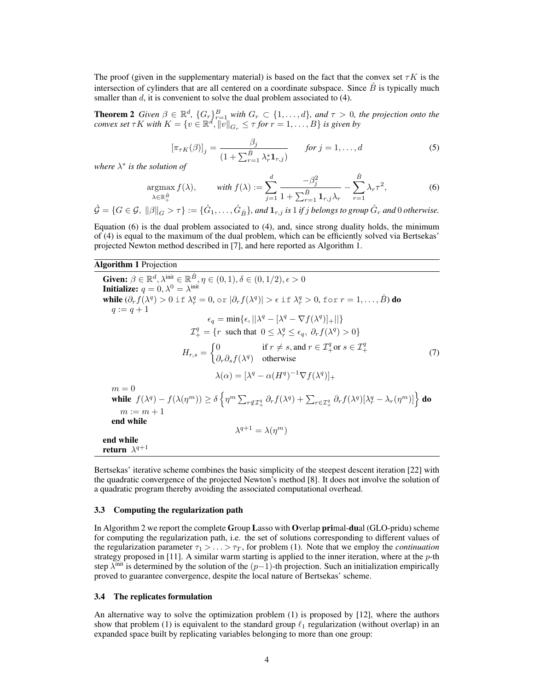The proof (given in the supplementary material) is based on the fact that the convex set  $\tau K$  is the intersection of cylinders that are all centered on a coordinate subspace. Since  $\hat{B}$  is typically much smaller than d, it is convenient to solve the dual problem associated to (4).

**Theorem 2** *Given*  $\beta \in \mathbb{R}^d$ ,  $\{G_r\}_{r=1}^B$  *with*  $G_r \subset \{1, \ldots, d\}$ , and  $\tau > 0$ , the projection onto the *convex set*  $\tau K$  *with*  $K = \{v \in \mathbb{R}^d, ||\overline{v}||_{G_r} \leq \tau$  for  $r = 1, ..., B\}$  is given by

$$
[\pi_{\tau K}(\beta)]_j = \frac{\beta_j}{(1 + \sum_{r=1}^{\hat{B}} \lambda_r^* \mathbf{1}_{r,j})} \qquad \text{for } j = 1, \dots, d
$$
 (5)

*where* λ ∗ *is the solution of*

$$
\underset{\lambda \in \mathbb{R}_+^{\hat{B}}}{\operatorname{argmax}} f(\lambda), \qquad \text{with } f(\lambda) := \sum_{j=1}^d \frac{-\beta_j^2}{1 + \sum_{r=1}^{\hat{B}} \mathbf{1}_{r,j} \lambda_r} - \sum_{r=1}^{\hat{B}} \lambda_r \tau^2,\tag{6}
$$

 $\hat{\mathcal{G}} = \{G \in \mathcal{G},~\|\beta\|_G > \tau\} := \{\hat{G}_1,\ldots,\hat{G}_{\hat{B}}\},$  and  $\mathbf{1}_{r,j}$  is  $1$  if  $j$  belongs to group  $\hat{G}_r$  and  $0$  otherwise.

Equation (6) is the dual problem associated to (4), and, since strong duality holds, the minimum of (4) is equal to the maximum of the dual problem, which can be efficiently solved via Bertsekas' projected Newton method described in [7], and here reported as Algorithm 1.

#### Algorithm 1 Projection

Given:  $\beta \in \mathbb{R}^d$ ,  $\lambda^{\text{init}} \in \mathbb{R}^{\hat{B}}, \eta \in (0,1), \delta \in (0,1/2), \epsilon > 0$ Initialize:  $q=0, \lambda^0=\lambda^{\text{init}}$ while  $(\partial_r f(\lambda^q) > 0$  if  $\lambda_r^q = 0$ , or  $|\partial_r f(\lambda^q)| > \epsilon$  if  $\lambda_r^q > 0$ , for  $r = 1, \ldots, \hat{B}$ ) do  $q := q + 1$  $\epsilon_q = \min\{\epsilon, ||\lambda^q - [\lambda^q - \nabla f(\lambda^q)]_+||\}$  $\mathcal{I}^q_+ = \{r \text{ such that } 0 \leq \lambda^q_r \leq \epsilon_q, \ \partial_r f(\lambda^q) > 0\}$  $H_{r,s} = \begin{cases} 0 & \text{if } r \neq s, \text{and } r \in \mathcal{I}^q_+ \text{ or } s \in \mathcal{I}^q_+ \end{cases}$  $\partial_r \partial_s f(\lambda^q)$  otherwise (7)  $\lambda(\alpha) = [\lambda^q - \alpha (H^q)^{-1} \nabla f(\lambda^q)]_+$  $m = 0$ while  $f(\lambda^q)-f(\lambda(\eta^m))\geq \delta\left\{\eta^m\sum_{r\notin\mathcal{I}^q_+}\partial_rf(\lambda^q)+\sum_{r\in\mathcal{I}^q_+}\partial_rf(\lambda^q)[\lambda^q_r-\lambda_r(\eta^m)]\right\}$  do  $m := m + 1$ end while  $\lambda^{q+1} = \lambda(\eta^m)$ end while return  $\lambda^{q+1}$ 

Bertsekas' iterative scheme combines the basic simplicity of the steepest descent iteration [22] with the quadratic convergence of the projected Newton's method [8]. It does not involve the solution of a quadratic program thereby avoiding the associated computational overhead.

#### 3.3 Computing the regularization path

In Algorithm 2 we report the complete Group Lasso with Overlap primal-dual (GLO-pridu) scheme for computing the regularization path, i.e. the set of solutions corresponding to different values of the regularization parameter  $\tau_1 > \ldots > \tau_T$ , for problem (1). Note that we employ the *continuation* strategy proposed in [11]. A similar warm starting is applied to the inner iteration, where at the  $p$ -th step  $\lambda^{\text{init}}$  is determined by the solution of the  $(p-1)$ -th projection. Such an initialization empirically proved to guarantee convergence, despite the local nature of Bertsekas' scheme.

#### 3.4 The replicates formulation

An alternative way to solve the optimization problem (1) is proposed by [12], where the authors show that problem (1) is equivalent to the standard group  $\ell_1$  regularization (without overlap) in an expanded space built by replicating variables belonging to more than one group: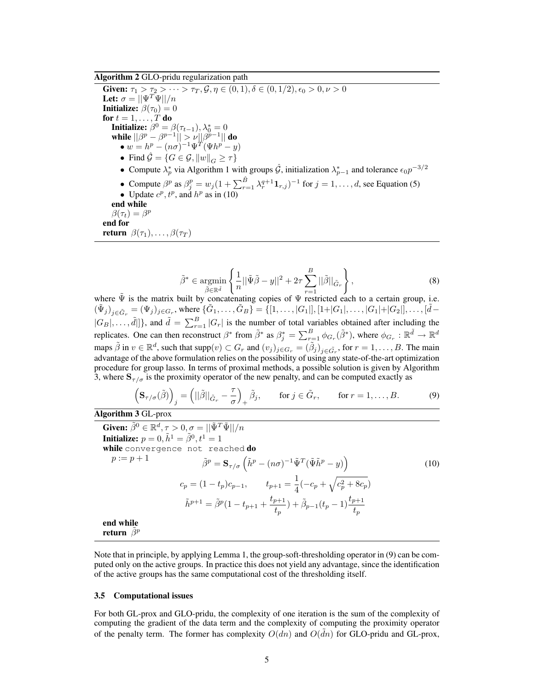Algorithm 2 GLO-pridu regularization path

Given:  $\tau_1 > \tau_2 > \cdots > \tau_T, \mathcal{G}, \eta \in (0, 1), \delta \in (0, 1/2), \epsilon_0 > 0, \nu > 0$ Let:  $\sigma = ||\Psi^T \Psi||/n$ **Initialize:**  $\beta(\tau_0) = 0$ for  $t = 1, \ldots, T$  do **Initialize:**  $\beta^0 = \beta(\tau_{t-1}), \lambda_0^* = 0$ while  $||\beta^p - \beta^{p-1}|| > \nu ||\beta^{p-1}||$  do  $\bullet w = h^p - (n\sigma)^{-1} \Psi^T (\Psi h^p - y)$ • Find  $\mathcal{G} = \{G \in \mathcal{G}, ||w||_G \geq \tau\}$ • Compute  $\lambda_p^*$  via Algorithm 1 with groups  $\hat{G}$ , initialization  $\lambda_{p-1}^*$  and tolerance  $\epsilon_0 p^{-3/2}$  $p-1$ • Compute  $\beta^p$  as  $\beta_j^p = w_j (1 + \sum_{r=1}^{\hat{B}} \lambda_r^{q+1} \mathbf{1}_{r,j})^{-1}$  for  $j = 1, \dots, d$ , see Equation (5) • Update  $c^p, t^p$ , and  $h^p$  as in (10) end while  $\beta(\tau_t) = \beta^p$ end for **return**  $\beta(\tau_1), \ldots, \beta(\tau_T)$ 

$$
\tilde{\beta}^* \in \underset{\tilde{\beta} \in \mathbb{R}^{\tilde{d}}}{\operatorname{argmin}} \left\{ \frac{1}{n} ||\tilde{\Psi}\tilde{\beta} - y||^2 + 2\tau \sum_{r=1}^B ||\tilde{\beta}||_{\tilde{G}_r} \right\},\tag{8}
$$

where  $\tilde{\Psi}$  is the matrix built by concatenating copies of  $\Psi$  restricted each to a certain group, i.e.  $(\tilde{\Psi}_j)_{j \in \tilde{G}_r} = (\Psi_j)_{j \in G_r}$ , where  $\{\tilde{G}_1, \ldots, \tilde{G}_B\} = \{[1, \ldots, |G_1|], [1 + |G_1|, \ldots, |G_1| + |G_2|], \ldots, [\tilde{d} - \tilde{d}_1] \}$  $|G_B|, \ldots, \tilde{d}|\}$ , and  $\tilde{d} = \sum_{r=1}^B |G_r|$  is the number of total variables obtained after including the replicates. One can then reconstruct  $\beta^*$  from  $\tilde{\beta}^*$  as  $\beta_j^* = \sum_{r=1}^B \phi_{G_r}(\tilde{\beta}^*)$ , where  $\phi_{G_r} : \mathbb{R}^{\tilde{d}} \to \mathbb{R}^d$ maps  $\tilde{\beta}$  in  $v \in \mathbb{R}^d$ , such that  $\text{supp}(v) \subset G_r$  and  $(v_j)_{j \in G_r} = (\tilde{\beta}_j)_{j \in \tilde{G_r}}$ , for  $r = 1, \ldots, B$ . The main advantage of the above formulation relies on the possibility of using any state-of-the-art optimization procedure for group lasso. In terms of proximal methods, a possible solution is given by Algorithm 3, where  $S_{\tau/\sigma}$  is the proximity operator of the new penalty, and can be computed exactly as

$$
\left(\mathbf{S}_{\tau/\sigma}(\tilde{\beta})\right)_j = \left(||\tilde{\beta}||_{\tilde{G}_r} - \frac{\tau}{\sigma}\right)_+ \tilde{\beta}_j, \qquad \text{for } j \in \tilde{G}_r, \qquad \text{for } r = 1, \dots, B. \tag{9}
$$

Algorithm 3 GL-prox Given:  $\tilde{\beta}^0 \in \mathbb{R}^d, \tau > 0, \sigma = ||\tilde{\Psi}^T \tilde{\Psi}||/n$ Initialize:  $p=0,\tilde{h}^1=\tilde{\beta}^0,t^1=1$ while convergence not reached do  $p := p + 1$ <br>  $\tilde{\beta}^p = \mathbf{S}_{\tau/\sigma} \left( \tilde{h}^p - (n\sigma)^{-1} \tilde{\Psi}^T (\tilde{\Psi} \tilde{h}^p - y) \right)$ (10)  $c_p = (1-t_p)c_{p-1}, \qquad t_{p+1} = \frac{1}{4}$  $\frac{1}{4}(-c_p + \sqrt{c_p^2 + 8c_p})$  $\tilde{h}^{p+1} = \tilde{\beta}^p (1 - t_{p+1} + \frac{t_{p+1}}{t})$  $\big( \frac{t_{p+1}}{t_p} \big) + \tilde{\beta}_{p-1}(t_p-1) \frac{t_{p+1}}{t_p}$ end while return  $\hat{\beta}^p$ 

Note that in principle, by applying Lemma 1, the group-soft-thresholding operator in (9) can be computed only on the active groups. In practice this does not yield any advantage, since the identification of the active groups has the same computational cost of the thresholding itself.

#### 3.5 Computational issues

For both GL-prox and GLO-pridu, the complexity of one iteration is the sum of the complexity of computing the gradient of the data term and the complexity of computing the proximity operator of the penalty term. The former has complexity  $O(dn)$  and  $O(\tilde{d}n)$  for GLO-pridu and GL-prox,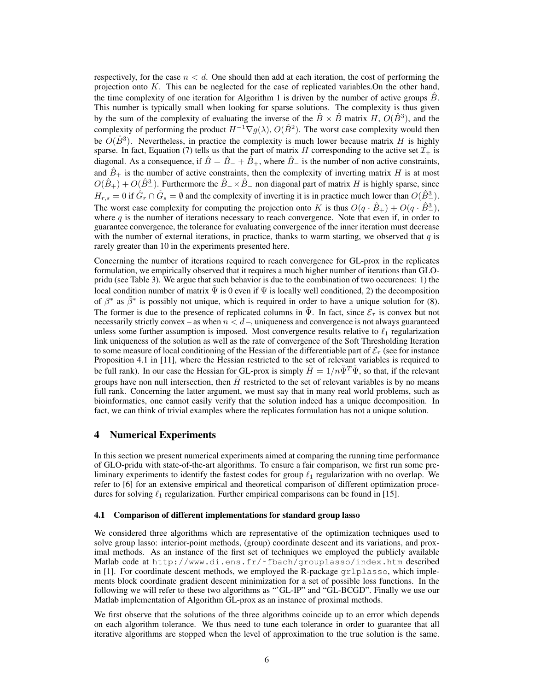respectively, for the case  $n < d$ . One should then add at each iteration, the cost of performing the projection onto K. This can be neglected for the case of replicated variables.On the other hand, the time complexity of one iteration for Algorithm 1 is driven by the number of active groups  $\hat{B}$ . This number is typically small when looking for sparse solutions. The complexity is thus given by the sum of the complexity of evaluating the inverse of the  $\hat{B} \times \hat{B}$  matrix H,  $O(\hat{B}^3)$ , and the complexity of performing the product  $H^{-1} \nabla g(\lambda)$ ,  $O(\hat{B}^2)$ . The worst case complexity would then be  $O(\hat{B}^3)$ . Nevertheless, in practice the complexity is much lower because matrix H is highly sparse. In fact, Equation (7) tells us that the part of matrix H corresponding to the active set  $\mathcal{I}_+$  is diagonal. As a consequence, if  $\hat{B} = \hat{B}_{-} + \hat{B}_{+}$ , where  $\hat{B}_{-}$  is the number of non active constraints, and  $\hat{B}_+$  is the number of active constraints, then the complexity of inverting matrix H is at most  $O(\hat{B}_+) + O(\hat{B}_-^3)$ . Furthermore the  $\hat{B}_-\times \hat{B}_-$  non diagonal part of matrix H is highly sparse, since  $H_{r,s} = 0$  if  $\hat{G}_r \cap \tilde{G}_s = \emptyset$  and the complexity of inverting it is in practice much lower than  $O(\hat{B}_-^3)$ . The worst case complexity for computing the projection onto K is thus  $O(q \cdot \hat{B}_+) + O(q \cdot \hat{B}_-^3)$ , where  $q$  is the number of iterations necessary to reach convergence. Note that even if, in order to guarantee convergence, the tolerance for evaluating convergence of the inner iteration must decrease with the number of external iterations, in practice, thanks to warm starting, we observed that  $q$  is rarely greater than 10 in the experiments presented here.

Concerning the number of iterations required to reach convergence for GL-prox in the replicates formulation, we empirically observed that it requires a much higher number of iterations than GLOpridu (see Table 3). We argue that such behavior is due to the combination of two occurences: 1) the local condition number of matrix  $\bar{\Psi}$  is 0 even if  $\Psi$  is locally well conditioned, 2) the decomposition of  $\beta^*$  as  $\tilde{\beta}^*$  is possibly not unique, which is required in order to have a unique solution for (8). The former is due to the presence of replicated columns in  $\tilde{\Psi}$ . In fact, since  $\mathcal{E}_{\tau}$  is convex but not necessarily strictly convex – as when  $n < d$  –, uniqueness and convergence is not always guaranteed unless some further assumption is imposed. Most convergence results relative to  $\ell_1$  regularization link uniqueness of the solution as well as the rate of convergence of the Soft Thresholding Iteration to some measure of local conditioning of the Hessian of the differentiable part of  $\mathcal{E}_{\tau}$  (see for instance Proposition 4.1 in [11], where the Hessian restricted to the set of relevant variables is required to be full rank). In our case the Hessian for GL-prox is simply  $\tilde{H} = 1/n\tilde{\Psi}^T\tilde{\Psi}$ , so that, if the relevant groups have non null intersection, then  $\tilde{H}$  restricted to the set of relevant variables is by no means full rank. Concerning the latter argument, we must say that in many real world problems, such as bioinformatics, one cannot easily verify that the solution indeed has a unique decomposition. In fact, we can think of trivial examples where the replicates formulation has not a unique solution.

## 4 Numerical Experiments

In this section we present numerical experiments aimed at comparing the running time performance of GLO-pridu with state-of-the-art algorithms. To ensure a fair comparison, we first run some preliminary experiments to identify the fastest codes for group  $\ell_1$  regularization with no overlap. We refer to [6] for an extensive empirical and theoretical comparison of different optimization procedures for solving  $\ell_1$  regularization. Further empirical comparisons can be found in [15].

#### 4.1 Comparison of different implementations for standard group lasso

We considered three algorithms which are representative of the optimization techniques used to solve group lasso: interior-point methods, (group) coordinate descent and its variations, and proximal methods. As an instance of the first set of techniques we employed the publicly available Matlab code at http://www.di.ens.fr/˜fbach/grouplasso/index.htm described in [1]. For coordinate descent methods, we employed the R-package gr1plasso, which implements block coordinate gradient descent minimization for a set of possible loss functions. In the following we will refer to these two algorithms as "'GL-IP" and "GL-BCGD". Finally we use our Matlab implementation of Algorithm GL-prox as an instance of proximal methods.

We first observe that the solutions of the three algorithms coincide up to an error which depends on each algorithm tolerance. We thus need to tune each tolerance in order to guarantee that all iterative algorithms are stopped when the level of approximation to the true solution is the same.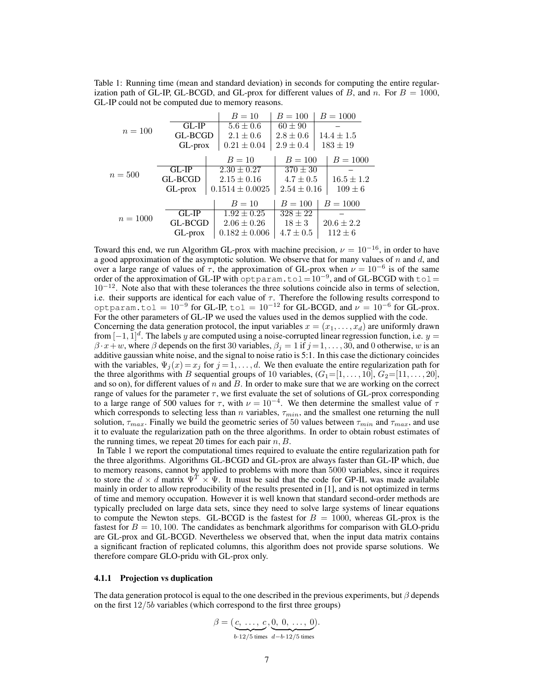Table 1: Running time (mean and standard deviation) in seconds for computing the entire regularization path of GL-IP, GL-BCGD, and GL-prox for different values of B, and n. For  $B = 1000$ , GL-IP could not be computed due to memory reasons.

|            |            | $B = 10$            | $B = 100$       | $B = 1000$     |  |
|------------|------------|---------------------|-----------------|----------------|--|
| $n = 100$  | $GL-IP$    | $5.6 \pm 0.6$       | $60 \pm 90$     |                |  |
|            | GL-BCGD    | $2.1 \pm 0.6$       | $2.8 \pm 0.6$   | $14.4 \pm 1.5$ |  |
|            | $GL$ -prox | $0.21 \pm 0.04$     | $2.9 \pm 0.4$   | $183 \pm 19$   |  |
|            |            | $B = 10$            | $B = 100$       | $B = 1000$     |  |
| $n=500$    | $GL-IP$    | $2.30 \pm 0.27$     | $370 \pm 30$    |                |  |
|            | GL-BCGD    | $2.15 \pm 0.16$     | $4.7 \pm 0.5$   | $16.5 \pm 1.2$ |  |
|            | GL-prox    | $0.1514 \pm 0.0025$ | $2.54 \pm 0.16$ | $109 \pm 6$    |  |
| $n = 1000$ |            | $B = 10$            | $B = 100$       | $B = 1000$     |  |
|            | $GL-IP$    | $1.92 \pm 0.25$     | $328 \pm 22$    |                |  |
|            | GL-BCGD    | $2.06 \pm 0.26$     | $18 \pm 3$      | $20.6 \pm 2.2$ |  |
|            | GL-prox    | $0.182 \pm 0.006$   | $4.7 \pm 0.5$   | $112 \pm 6$    |  |
|            |            |                     |                 |                |  |

Toward this end, we run Algorithm GL-prox with machine precision,  $\nu = 10^{-16}$ , in order to have a good approximation of the asymptotic solution. We observe that for many values of  $n$  and  $d$ , and over a large range of values of  $\tau$ , the approximation of GL-prox when  $\nu = 10^{-6}$  is of the same order of the approximation of GL-IP with optparam.tol= $10^{-9}$ , and of GL-BCGD with tol=  $10^{-12}$ . Note also that with these tolerances the three solutions coincide also in terms of selection, i.e. their supports are identical for each value of  $\tau$ . Therefore the following results correspond to optparam.tol =  $10^{-9}$  for GL-IP, tol =  $10^{-12}$  for GL-BCGD, and  $\nu = 10^{-6}$  for GL-prox. For the other parameters of GL-IP we used the values used in the demos supplied with the code.

Concerning the data generation protocol, the input variables  $x = (x_1, \ldots, x_d)$  are uniformly drawn from  $[-1, 1]^d$ . The labels y are computed using a noise-corrupted linear regression function, i.e.  $y =$  $\beta \cdot x + w$ , where  $\beta$  depends on the first 30 variables,  $\beta_j = 1$  if  $j = 1, ..., 30$ , and 0 otherwise, w is an additive gaussian white noise, and the signal to noise ratio is 5:1. In this case the dictionary coincides with the variables,  $\Psi_i(x) = x_i$  for  $j = 1, \ldots, d$ . We then evaluate the entire regularization path for the three algorithms with B sequential groups of 10 variables,  $(G_1=[1, \ldots, 10], G_2=[11, \ldots, 20],$ and so on), for different values of  $n$  and  $B$ . In order to make sure that we are working on the correct range of values for the parameter  $\tau$ , we first evaluate the set of solutions of GL-prox corresponding to a large range of 500 values for  $\tau$ , with  $\nu = 10^{-4}$ . We then determine the smallest value of  $\tau$ which corresponds to selecting less than n variables,  $\tau_{min}$ , and the smallest one returning the null solution,  $\tau_{max}$ . Finally we build the geometric series of 50 values between  $\tau_{min}$  and  $\tau_{max}$ , and use it to evaluate the regularization path on the three algorithms. In order to obtain robust estimates of the running times, we repeat 20 times for each pair  $n, B$ .

In Table 1 we report the computational times required to evaluate the entire regularization path for the three algorithms. Algorithms GL-BCGD and GL-prox are always faster than GL-IP which, due to memory reasons, cannot by applied to problems with more than 5000 variables, since it requires to store the  $d \times d$  matrix  $\Psi^T \times \Psi$ . It must be said that the code for GP-IL was made available mainly in order to allow reproducibility of the results presented in [1], and is not optimized in terms of time and memory occupation. However it is well known that standard second-order methods are typically precluded on large data sets, since they need to solve large systems of linear equations to compute the Newton steps. GL-BCGD is the fastest for  $B = 1000$ , whereas GL-prox is the fastest for  $B = 10, 100$ . The candidates as benchmark algorithms for comparison with GLO-pridu are GL-prox and GL-BCGD. Nevertheless we observed that, when the input data matrix contains a significant fraction of replicated columns, this algorithm does not provide sparse solutions. We therefore compare GLO-pridu with GL-prox only.

#### 4.1.1 Projection vs duplication

The data generation protocol is equal to the one described in the previous experiments, but  $\beta$  depends on the first  $12/5b$  variables (which correspond to the first three groups)

$$
\beta = (\underbrace{c, \ldots, c}_{b \cdot 12/5 \text{ times}}, \underbrace{0, 0, \ldots, 0}_{d-b \cdot 12/5 \text{ times}}).
$$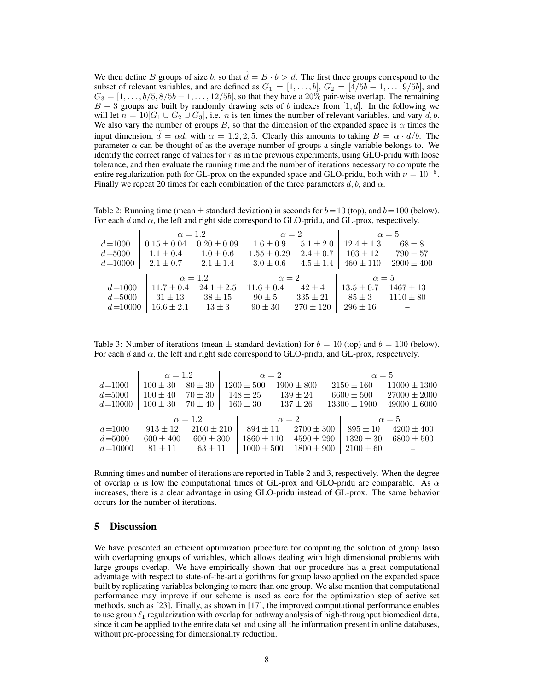We then define B groups of size b, so that  $\tilde{d} = B \cdot b > d$ . The first three groups correspond to the subset of relevant variables, and are defined as  $G_1 = [1, \ldots, b], G_2 = [4/5b + 1, \ldots, 9/5b]$ , and  $G_3 = [1, \ldots, b/5, 8/5b + 1, \ldots, 12/5b]$ , so that they have a 20% pair-wise overlap. The remaining  $B - 3$  groups are built by randomly drawing sets of b indexes from [1, d]. In the following we will let  $n = 10|G_1 \cup G_2 \cup G_3|$ , i.e. *n* is ten times the number of relevant variables, and vary *d*, *b*. We also vary the number of groups B, so that the dimension of the expanded space is  $\alpha$  times the input dimension,  $\tilde{d} = \alpha d$ , with  $\alpha = 1.2, 2, 5$ . Clearly this amounts to taking  $B = \alpha \cdot d/b$ . The parameter  $\alpha$  can be thought of as the average number of groups a single variable belongs to. We identify the correct range of values for  $\tau$  as in the previous experiments, using GLO-pridu with loose tolerance, and then evaluate the running time and the number of iterations necessary to compute the entire regularization path for GL-prox on the expanded space and GLO-pridu, both with  $\nu = 10^{-6}$ . Finally we repeat 20 times for each combination of the three parameters d, b, and  $\alpha$ .

Table 2: Running time (mean  $\pm$  standard deviation) in seconds for  $b=10$  (top), and  $b=100$  (below). For each d and  $\alpha$ , the left and right side correspond to GLO-pridu, and GL-prox, respectively.

|             | $\alpha = 1.2$              |                 | $\alpha = 2$         |               | $\alpha = 5$   |                |
|-------------|-----------------------------|-----------------|----------------------|---------------|----------------|----------------|
| $d = 1000$  | $0.15 \pm 0.04$             | $0.20 \pm 0.09$ | $1.6 \pm 0.9$        | $5.1 \pm 2.0$ | $12.4 \pm 1.3$ | $68 \pm 8$     |
| $d = 5000$  | $1.1 \pm 0.4$ $1.0 \pm 0.6$ |                 | $1.55 \pm 0.29$      | $2.4 \pm 0.7$ | $103 \pm 12$   | $790 \pm 57$   |
| $d = 10000$ | $2.1 \pm 0.7$               | $2.1 \pm 1.4$   | $1\quad 3.0 \pm 0.6$ | $4.5 \pm 1.4$ | $460 \pm 110$  | $2900 \pm 400$ |
|             | $\alpha = 1.2$              |                 | $\alpha=2$           |               | $\alpha = 5$   |                |
|             |                             |                 |                      |               |                |                |
| $d = 1000$  | $11.7 \pm 0.4$              | $24.1 \pm 2.5$  | $11.6 \pm 0.4$       | $42 \pm 4$    | $13.5 \pm 0.7$ | $1467 \pm 13$  |
| $d = 5000$  | $31 \pm 13$                 | $38 \pm 15$     | $90 \pm 5$           | $335 \pm 21$  | $85 \pm 3$     | $1110 \pm 80$  |

Table 3: Number of iterations (mean  $\pm$  standard deviation) for  $b = 10$  (top) and  $b = 100$  (below). For each d and  $\alpha$ , the left and right side correspond to GLO-pridu, and GL-prox, respectively.

|             | $\alpha = 1.2$ |                | $\alpha=2$   |                | $\alpha = 5$ |                |  |                  |                  |
|-------------|----------------|----------------|--------------|----------------|--------------|----------------|--|------------------|------------------|
| $d = 1000$  | $100 \pm 30$   | $80 \pm 30$    |              | $1200 \pm 500$ |              | $1900 \pm 800$ |  | $2150 \pm 160$   | $11000 \pm 1300$ |
| $d = 5000$  | $100 \pm 40$   | $70 \pm 30$    |              | $148 \pm 25$   |              | $139 \pm 24$   |  | $6600 \pm 500$   | $27000 \pm 2000$ |
| $d = 10000$ | $100 \pm 30$   | $70 \pm 40$    |              | $160 \pm 30$   |              | $137 \pm 26$   |  | $13300 \pm 1900$ | $49000 \pm 6000$ |
|             | $\alpha = 1.2$ |                | $\alpha = 2$ |                |              | $\alpha = 5$   |  |                  |                  |
| $d = 1000$  | $913 \pm 12$   | $2160 \pm 210$ |              | $894 \pm 11$   |              | $2700 \pm 300$ |  | $895 \pm 10$     | $4200 \pm 400$   |
| $d = 5000$  | $600 \pm 400$  | $600 \pm 300$  |              | $1860 \pm 110$ |              | $4590 \pm 290$ |  | $1320 \pm 30$    | $6800 \pm 500$   |
| $d = 10000$ | $81 \pm 11$    | $63 \pm 11$    |              | $1000 \pm 500$ |              | $1800 \pm 900$ |  | $2100 \pm 60$    |                  |

Running times and number of iterations are reported in Table 2 and 3, respectively. When the degree of overlap  $\alpha$  is low the computational times of GL-prox and GLO-pridu are comparable. As  $\alpha$ increases, there is a clear advantage in using GLO-pridu instead of GL-prox. The same behavior occurs for the number of iterations.

#### 5 Discussion

We have presented an efficient optimization procedure for computing the solution of group lasso with overlapping groups of variables, which allows dealing with high dimensional problems with large groups overlap. We have empirically shown that our procedure has a great computational advantage with respect to state-of-the-art algorithms for group lasso applied on the expanded space built by replicating variables belonging to more than one group. We also mention that computational performance may improve if our scheme is used as core for the optimization step of active set methods, such as [23]. Finally, as shown in [17], the improved computational performance enables to use group  $\ell_1$  regularization with overlap for pathway analysis of high-throughput biomedical data, since it can be applied to the entire data set and using all the information present in online databases, without pre-processing for dimensionality reduction.